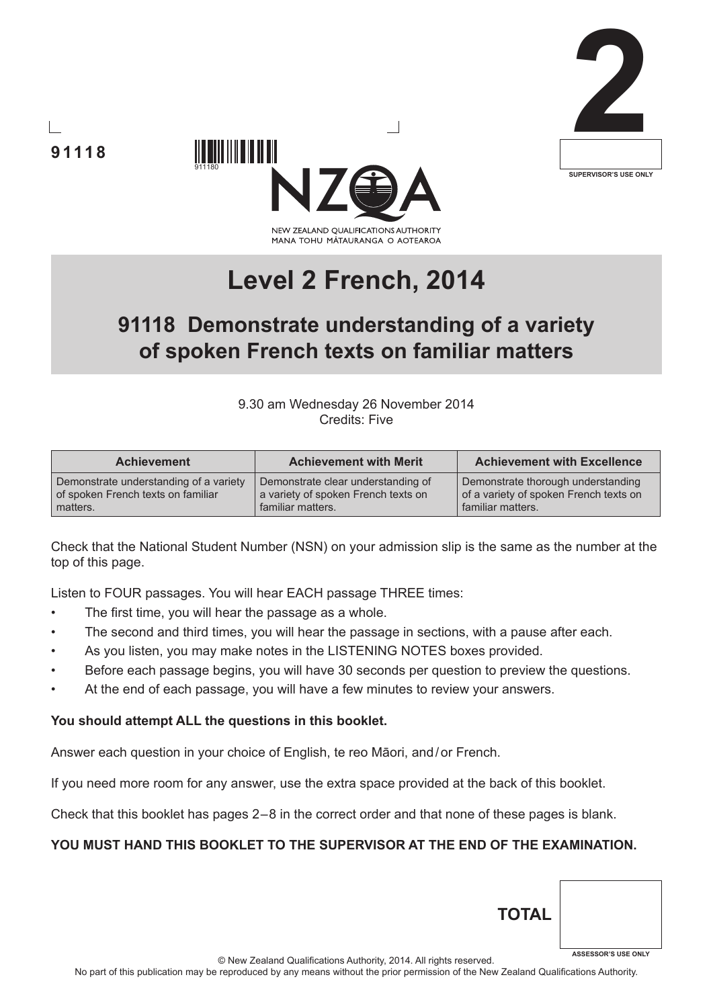





# **Level 2 French, 2014**

## **91118 Demonstrate understanding of a variety of spoken French texts on familiar matters**

9.30 am Wednesday 26 November 2014 Credits: Five

| <b>Achievement</b>                     | <b>Achievement with Merit</b>       | <b>Achievement with Excellence</b>     |
|----------------------------------------|-------------------------------------|----------------------------------------|
| Demonstrate understanding of a variety | Demonstrate clear understanding of  | Demonstrate thorough understanding     |
| of spoken French texts on familiar     | a variety of spoken French texts on | of a variety of spoken French texts on |
| matters.                               | familiar matters.                   | familiar matters.                      |

Check that the National Student Number (NSN) on your admission slip is the same as the number at the top of this page.

Listen to FOUR passages. You will hear EACH passage THREE times:

- The first time, you will hear the passage as a whole.
- The second and third times, you will hear the passage in sections, with a pause after each.
- As you listen, you may make notes in the LISTENING NOTES boxes provided.
- Before each passage begins, you will have 30 seconds per question to preview the questions.
- At the end of each passage, you will have a few minutes to review your answers.

#### **You should attempt ALL the questions in this booklet.**

Answer each question in your choice of English, te reo Māori, and/or French.

If you need more room for any answer, use the extra space provided at the back of this booklet.

Check that this booklet has pages 2 – 8 in the correct order and that none of these pages is blank.

#### **YOU MUST HAND THIS BOOKLET TO THE SUPERVISOR AT THE END OF THE EXAMINATION.**

**TOTA**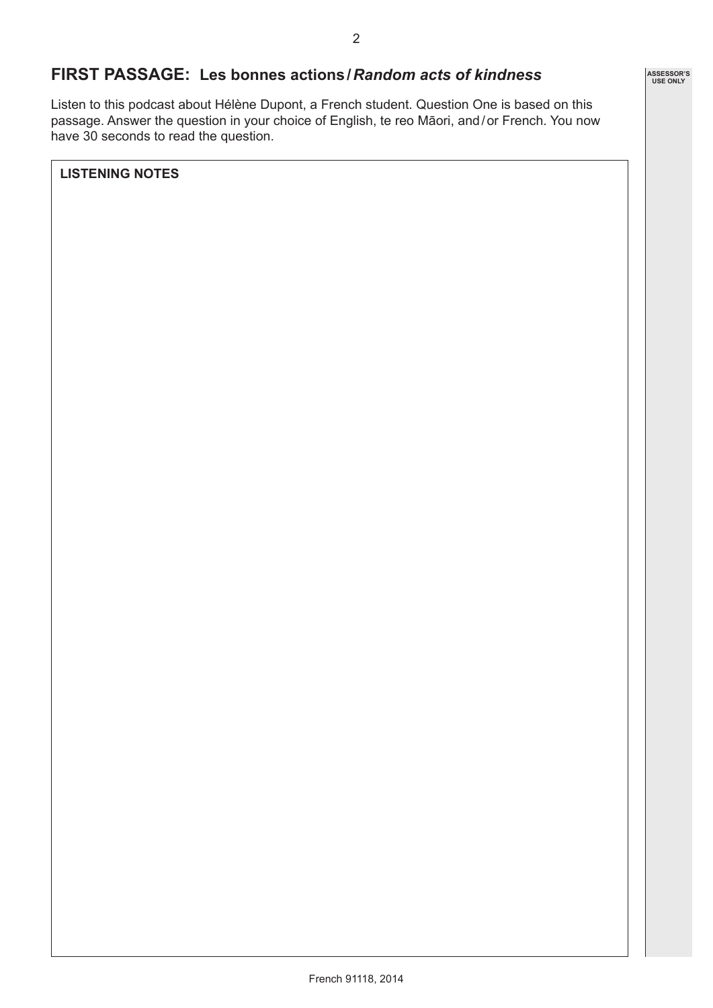## **FIRST PASSAGE: Les bonnes actions/***Random acts of kindness*

Listen to this podcast about Hélène Dupont, a French student. Question One is based on this passage. Answer the question in your choice of English, te reo Māori, and/or French. You now have 30 seconds to read the question.

**LISTENING NOTES**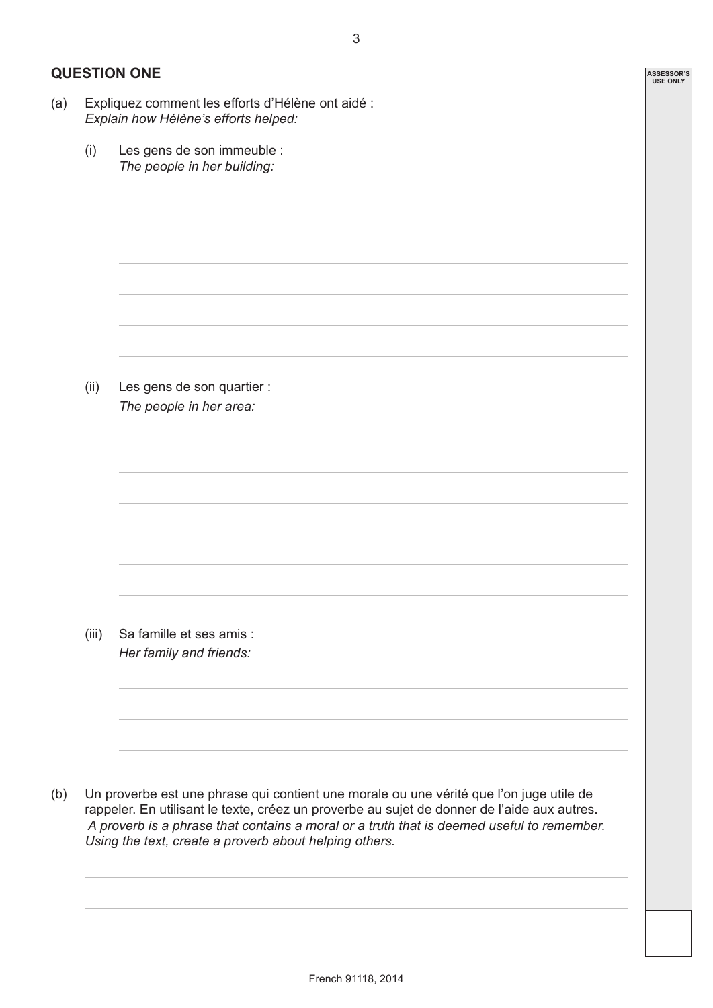**ASSESSOR'S USE ONLY**

## **QUESTION ONE**

- (a) Expliquez comment les efforts d'Hélène ont aidé : *Explain how Hélène's efforts helped:*
	- (i) Les gens de son immeuble : *The people in her building:*

(ii) Les gens de son quartier : *The people in her area:*

(iii) Sa famille et ses amis : *Her family and friends:*

(b) Un proverbe est une phrase qui contient une morale ou une vérité que l'on juge utile de rappeler. En utilisant le texte, créez un proverbe au sujet de donner de l'aide aux autres.  *A proverb is a phrase that contains a moral or a truth that is deemed useful to remember. Using the text, create a proverb about helping others.*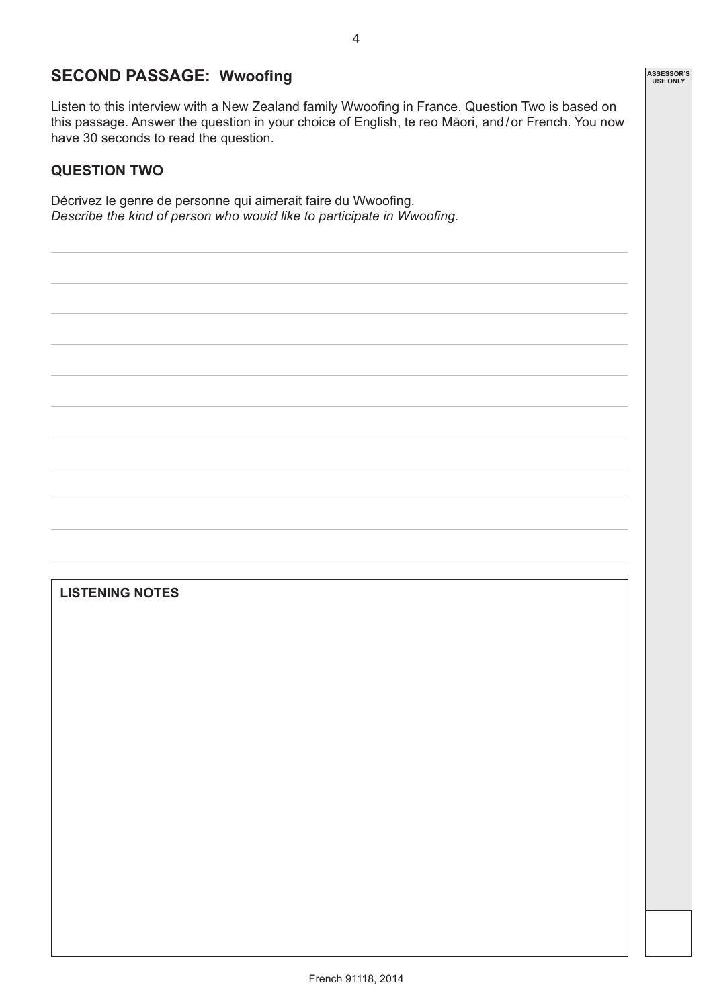## **SECOND PASSAGE: Wwoofing**

Listen to this interview with a New Zealand family Wwoofing in France. Question Two is based on this passage. Answer the question in your choice of English, te reo Māori, and/or French. You now have 30 seconds to read the question.

#### **QUESTION TWO**

Décrivez le genre de personne qui aimerait faire du Wwoofing. *Describe the kind of person who would like to participate in Wwoofing.*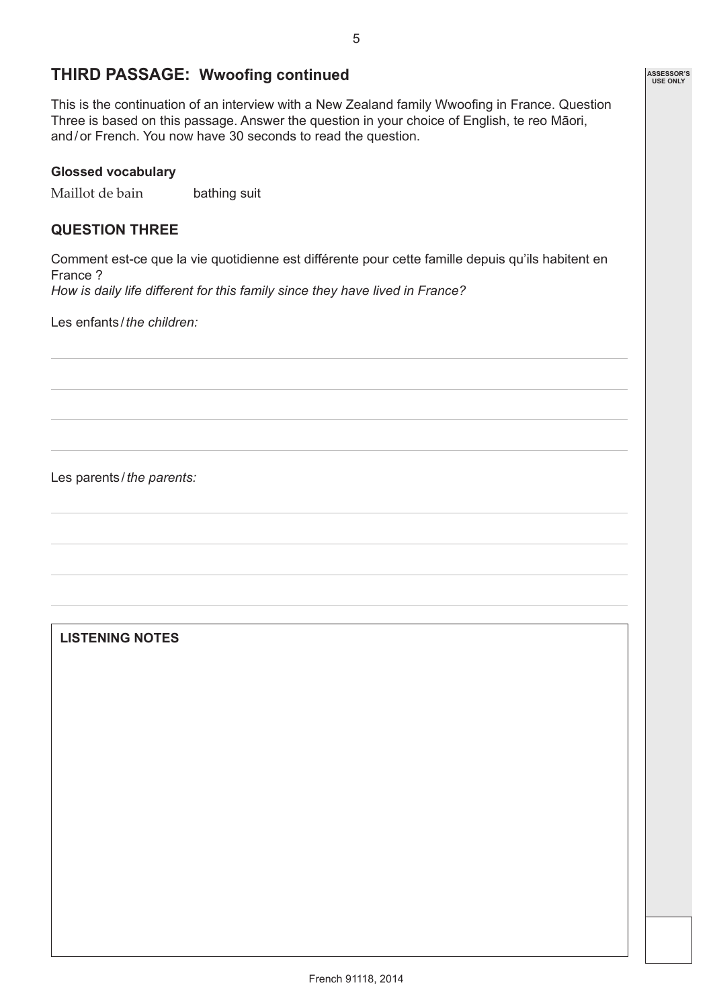## **THIRD PASSAGE: Wwoofing continued**

This is the continuation of an interview with a New Zealand family Wwoofing in France. Question Three is based on this passage. Answer the question in your choice of English, te reo Māori, and/or French. You now have 30 seconds to read the question.

#### **Glossed vocabulary**

Maillot de bain bathing suit

#### **QUESTION THREE**

Comment est-ce que la vie quotidienne est différente pour cette famille depuis qu'ils habitent en France ? *How is daily life different for this family since they have lived in France?*

Les enfants / *the children:*

Les parents /*the parents:*

**LISTENING NOTES**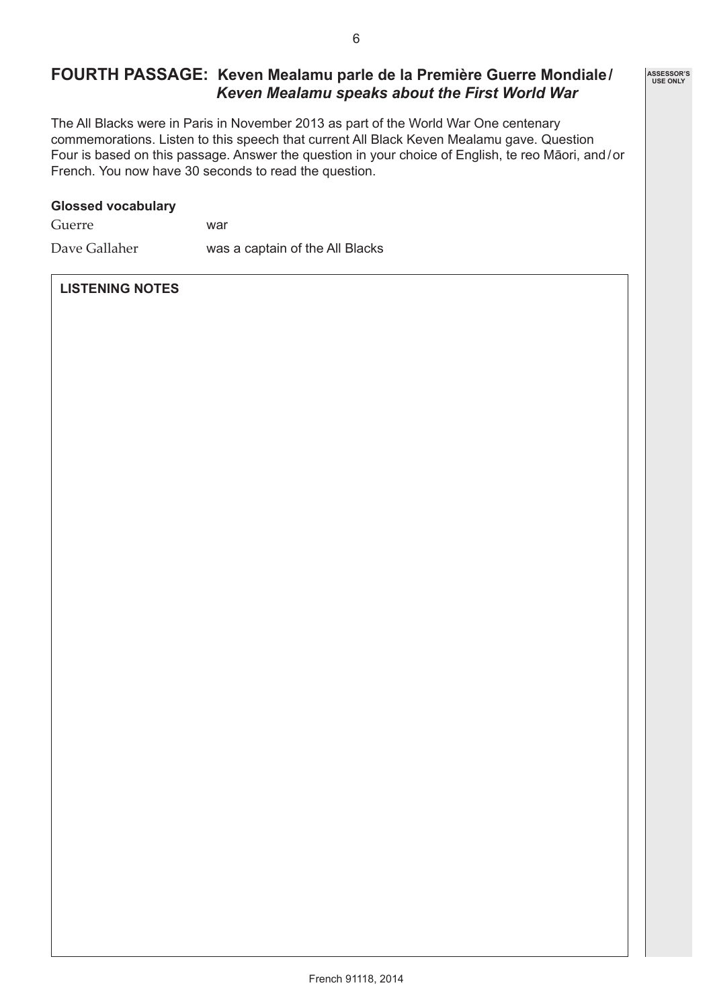## **FOURTH PASSAGE: Keven Mealamu parle de la Première Guerre Mondiale/** *Keven Mealamu speaks about the First World War*

The All Blacks were in Paris in November 2013 as part of the World War One centenary commemorations. Listen to this speech that current All Black Keven Mealamu gave. Question Four is based on this passage. Answer the question in your choice of English, te reo Māori, and/or French. You now have 30 seconds to read the question.

#### **Glossed vocabulary**

| Guerre | war |
|--------|-----|

Dave Gallaher was a captain of the All Blacks

#### **LISTENING NOTES**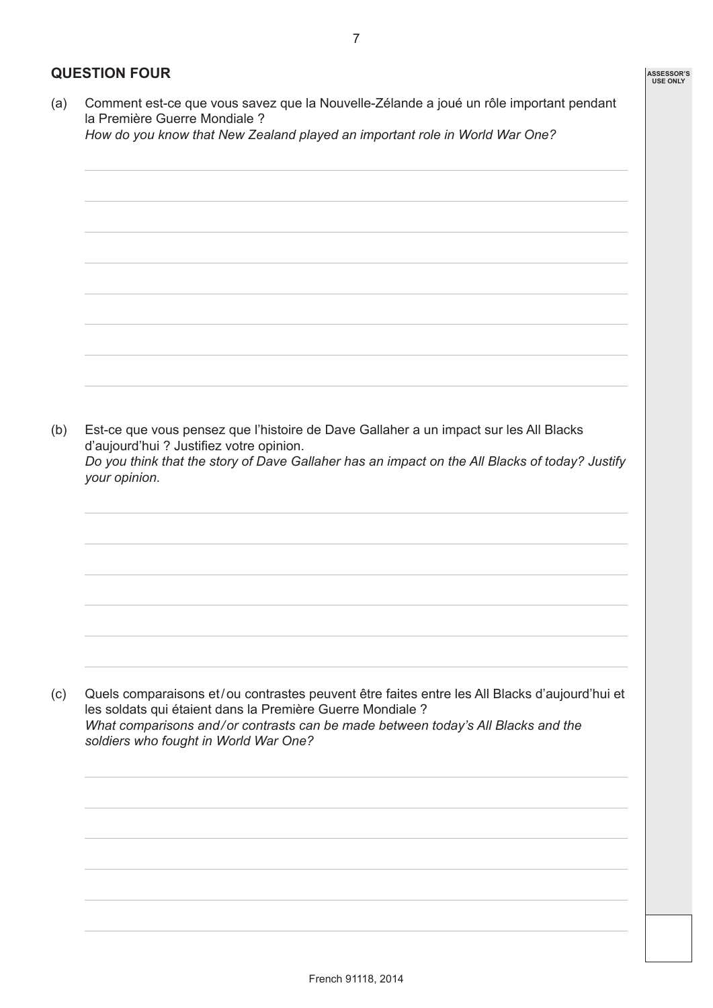## **QUESTION FOUR**

(a) Comment est-ce que vous savez que la Nouvelle-Zélande a joué un rôle important pendant la Première Guerre Mondiale ?

*How do you know that New Zealand played an important role in World War One?*

(b) Est-ce que vous pensez que l'histoire de Dave Gallaher a un impact sur les All Blacks d'aujourd'hui ? Justifiez votre opinion. *Do you think that the story of Dave Gallaher has an impact on the All Blacks of today? Justify your opinion.*

(c) Quels comparaisons et/ou contrastes peuvent être faites entre les All Blacks d'aujourd'hui et les soldats qui étaient dans la Première Guerre Mondiale ? *What comparisons and/or contrasts can be made between today's All Blacks and the soldiers who fought in World War One?*

7